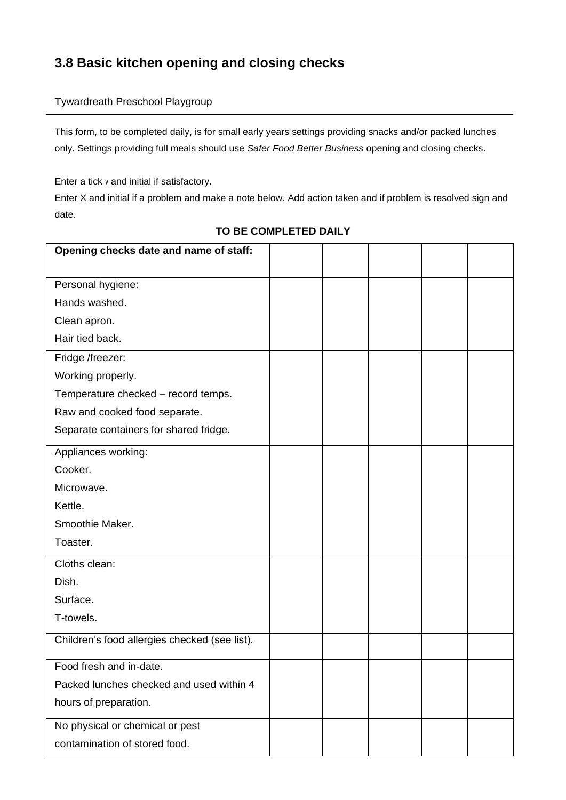# **3.8 Basic kitchen opening and closing checks**

#### Tywardreath Preschool Playgroup

This form, to be completed daily, is for small early years settings providing snacks and/or packed lunches only. Settings providing full meals should use *Safer Food Better Business* opening and closing checks.

Enter a tick v and initial if satisfactory.

Enter X and initial if a problem and make a note below. Add action taken and if problem is resolved sign and date.

| Opening checks date and name of staff:        |  |  |  |
|-----------------------------------------------|--|--|--|
| Personal hygiene:                             |  |  |  |
| Hands washed.                                 |  |  |  |
| Clean apron.                                  |  |  |  |
| Hair tied back.                               |  |  |  |
| Fridge /freezer:                              |  |  |  |
| Working properly.                             |  |  |  |
| Temperature checked - record temps.           |  |  |  |
| Raw and cooked food separate.                 |  |  |  |
| Separate containers for shared fridge.        |  |  |  |
| Appliances working:                           |  |  |  |
| Cooker.                                       |  |  |  |
| Microwave.                                    |  |  |  |
| Kettle.                                       |  |  |  |
| Smoothie Maker.                               |  |  |  |
| Toaster.                                      |  |  |  |
| Cloths clean:                                 |  |  |  |
| Dish.                                         |  |  |  |
| Surface.                                      |  |  |  |
| T-towels.                                     |  |  |  |
| Children's food allergies checked (see list). |  |  |  |
| Food fresh and in-date.                       |  |  |  |
| Packed lunches checked and used within 4      |  |  |  |
| hours of preparation.                         |  |  |  |
| No physical or chemical or pest               |  |  |  |
| contamination of stored food.                 |  |  |  |

#### **TO BE COMPLETED DAILY**